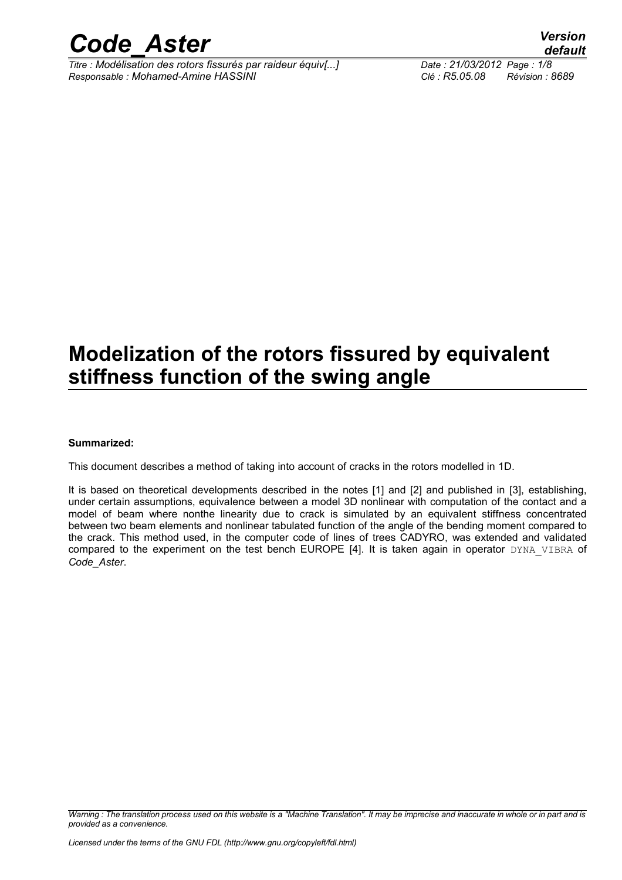

*Titre : Modélisation des rotors fissurés par raideur équiv[...] Date : 21/03/2012 Page : 1/8 Responsable : Mohamed-Amine HASSINI Clé : R5.05.08 Révision : 8689*

## **Modelization of the rotors fissured by equivalent stiffness function of the swing angle**

#### **Summarized:**

This document describes a method of taking into account of cracks in the rotors modelled in 1D.

It is based on theoretical developments described in the notes [1] and [2] and published in [3], establishing, under certain assumptions, equivalence between a model 3D nonlinear with computation of the contact and a model of beam where nonthe linearity due to crack is simulated by an equivalent stiffness concentrated between two beam elements and nonlinear tabulated function of the angle of the bending moment compared to the crack. This method used, in the computer code of lines of trees CADYRO, was extended and validated compared to the experiment on the test bench EUROPE [4]. It is taken again in operator DYNA VIBRA of *Code\_Aster*.

*Warning : The translation process used on this website is a "Machine Translation". It may be imprecise and inaccurate in whole or in part and is provided as a convenience.*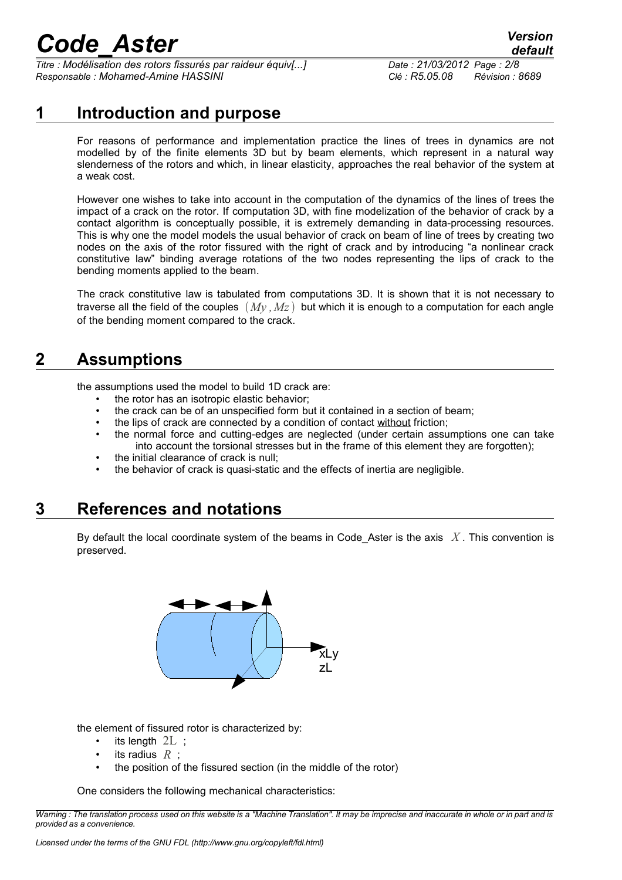*Titre : Modélisation des rotors fissurés par raideur équiv[...] Date : 21/03/2012 Page : 2/8 Responsable : Mohamed-Amine HASSINI Clé : R5.05.08 Révision : 8689*

### **1 Introduction and purpose**

For reasons of performance and implementation practice the lines of trees in dynamics are not modelled by of the finite elements 3D but by beam elements, which represent in a natural way slenderness of the rotors and which, in linear elasticity, approaches the real behavior of the system at a weak cost.

However one wishes to take into account in the computation of the dynamics of the lines of trees the impact of a crack on the rotor. If computation 3D, with fine modelization of the behavior of crack by a contact algorithm is conceptually possible, it is extremely demanding in data-processing resources. This is why one the model models the usual behavior of crack on beam of line of trees by creating two nodes on the axis of the rotor fissured with the right of crack and by introducing "a nonlinear crack constitutive law" binding average rotations of the two nodes representing the lips of crack to the bending moments applied to the beam.

The crack constitutive law is tabulated from computations 3D. It is shown that it is not necessary to traverse all the field of the couples  $(Mv, Mz)$  but which it is enough to a computation for each angle of the bending moment compared to the crack.

### **2 Assumptions**

the assumptions used the model to build 1D crack are:

- the rotor has an isotropic elastic behavior;
- the crack can be of an unspecified form but it contained in a section of beam;
- the lips of crack are connected by a condition of contact without friction;
- the normal force and cutting-edges are neglected (under certain assumptions one can take into account the torsional stresses but in the frame of this element they are forgotten);
- the initial clearance of crack is null;
- the behavior of crack is quasi-static and the effects of inertia are negligible.

### **3 References and notations**

By default the local coordinate system of the beams in Code\_Aster is the axis *X* . This convention is preserved.



the element of fissured rotor is characterized by:

- its length  $2L$ ;
- its radius *R* ;
- the position of the fissured section (in the middle of the rotor)

One considers the following mechanical characteristics:

*Warning : The translation process used on this website is a "Machine Translation". It may be imprecise and inaccurate in whole or in part and is provided as a convenience.*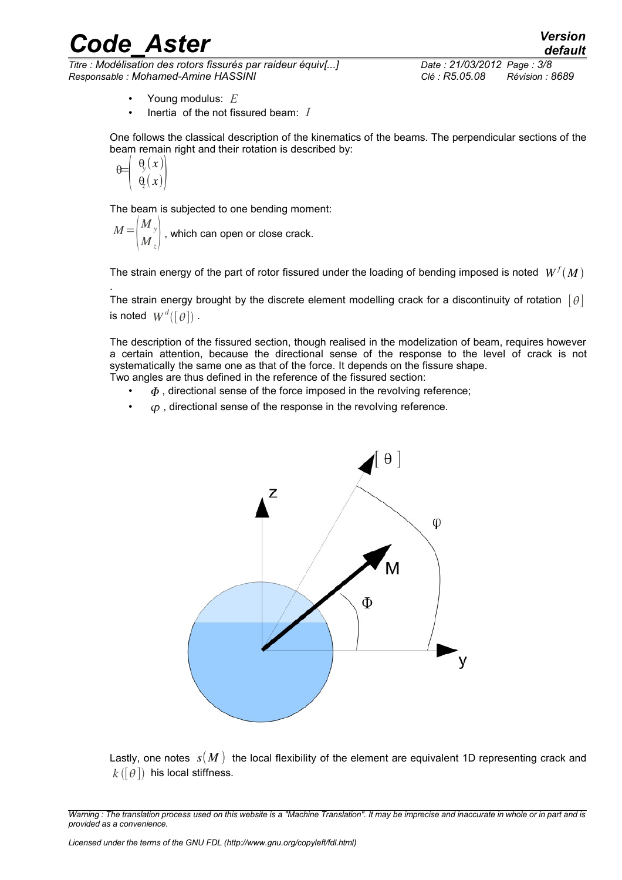*Titre : Modélisation des rotors fissurés par raideur équiv[...] Date : 21/03/2012 Page : 3/8 Responsable : Mohamed-Amine HASSINI Clé : R5.05.08 Révision : 8689*

- Young modulus: *E*
- Inertia of the not fissured beam: *I*

One follows the classical description of the kinematics of the beams. The perpendicular sections of the beam remain right and their rotation is described by:

$$
\theta = \left( \begin{array}{c} \theta_{\rm s}(x) \\ \theta_{\rm s}(x) \end{array} \right)
$$

.

The beam is subjected to one bending moment:

*M*=  $\vert \Lambda$ *M <sup>y</sup>*  $\overline{M}_z^y\big\vert$  , which can open or close crack.

The strain energy of the part of rotor fissured under the loading of bending imposed is noted  $\; W^f(M)$ 

The strain energy brought by the discrete element modelling crack for a discontinuity of rotation  $\lceil \theta \rceil$ is noted  $\textit{W}^{\textit{d}}([\theta])$  .

The description of the fissured section, though realised in the modelization of beam, requires however a certain attention, because the directional sense of the response to the level of crack is not systematically the same one as that of the force. It depends on the fissure shape. Two angles are thus defined in the reference of the fissured section:

 $\Phi$ , directional sense of the force imposed in the revolving reference;

 $\cdot$  ( $\sigma$ , directional sense of the response in the revolving reference.



Lastly, one notes  $s(M)$  the local flexibility of the element are equivalent 1D representing crack and  $k$  ( $\lceil \theta \rceil$ ) his local stiffness.

*Warning : The translation process used on this website is a "Machine Translation". It may be imprecise and inaccurate in whole or in part and is provided as a convenience.*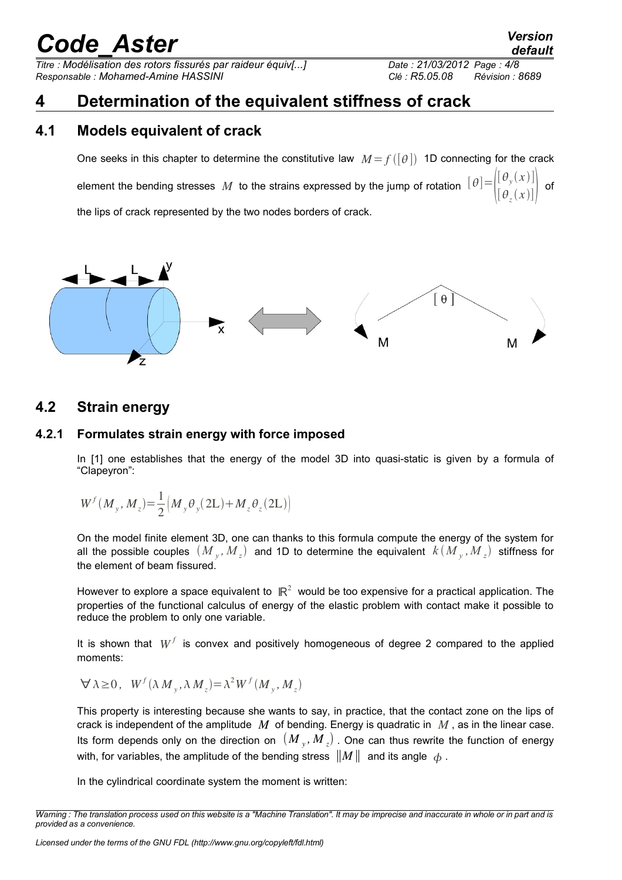*Titre : Modélisation des rotors fissurés par raideur équiv[...] Date : 21/03/2012 Page : 4/8 Responsable : Mohamed-Amine HASSINI Clé : R5.05.08 Révision : 8689*

## **4 Determination of the equivalent stiffness of crack**

### **4.1 Models equivalent of crack**

One seeks in this chapter to determine the constitutive law  $M = f([\theta])$  1D connecting for the crack element the bending stresses  $M$  to the strains expressed by the jump of rotation  $\parallel$ f  $[\,\theta_{\rm y}$  $(x)]$  $[\,\theta_{\scriptscriptstyle z}$  $(x)]$  of the lips of crack represented by the two nodes borders of crack.



#### **4.2 Strain energy**

#### **4.2.1 Formulates strain energy with force imposed**

In [1] one establishes that the energy of the model 3D into quasi-static is given by a formula of "Clapeyron":

$$
W^{f}(M_{y}, M_{z}) = \frac{1}{2} \Big(M_{y} \theta_{y} (2L) + M_{z} \theta_{z} (2L) \Big)
$$

On the model finite element 3D, one can thanks to this formula compute the energy of the system for all the possible couples  $(M_{y}, M_{z})$  and 1D to determine the equivalent  $k(M_{y}, M_{z})$  stiffness for the element of beam fissured.

However to explore a space equivalent to  $\mathbb{R}^2$  would be too expensive for a practical application. The properties of the functional calculus of energy of the elastic problem with contact make it possible to reduce the problem to only one variable.

It is shown that  $W^f$  is convex and positively homogeneous of degree 2 compared to the applied moments:

$$
\forall \lambda \ge 0, \quad W^f(\lambda M_y, \lambda M_z) = \lambda^2 W^f(M_y, M_z)
$$

This property is interesting because she wants to say, in practice, that the contact zone on the lips of crack is independent of the amplitude *M* of bending. Energy is quadratic in *M* , as in the linear case. Its form depends only on the direction on  $(M_y, M_z)$  . One can thus rewrite the function of energy with, for variables, the amplitude of the bending stress  $||M||$  and its angle  $\phi$ .

In the cylindrical coordinate system the moment is written:

*Warning : The translation process used on this website is a "Machine Translation". It may be imprecise and inaccurate in whole or in part and is provided as a convenience.*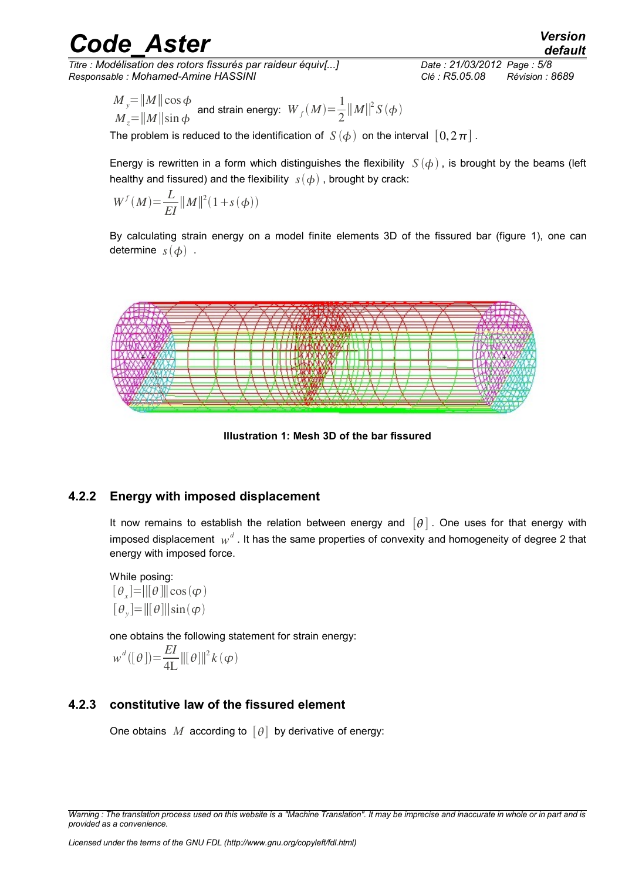*Titre : Modélisation des rotors fissurés par raideur équiv[...] Date : 21/03/2012 Page : 5/8 Responsable : Mohamed-Amine HASSINI Clé : R5.05.08 Révision : 8689*

*M*  $\frac{y}{y}$ =||*M* || cos φ  $M = ||M|| \sin \phi$ and strain energy:  $W_f(M) = \frac{1}{2}$ 2  $||M||^2$ *S*( $\phi$ )

The problem is reduced to the identification of  $S(\phi)$  on the interval  $[0,2\pi]$ .

Energy is rewritten in a form which distinguishes the flexibility  $S(\phi)$ , is brought by the beams (left healthy and fissured) and the flexibility  $s(\phi)$ , brought by crack:

$$
W^{f}(M) = \frac{L}{EI} ||M||^{2} (1 + s(\phi))
$$

By calculating strain energy on a model finite elements 3D of the fissured bar (figure [1\)](#page-4-0), one can determine  $s(\phi)$ .



<span id="page-4-0"></span>**Illustration 1: Mesh 3D of the bar fissured**

#### **4.2.2 Energy with imposed displacement**

It now remains to establish the relation between energy and  $[\theta]$ . One uses for that energy with imposed displacement  $\ _{W}^d$  . It has the same properties of convexity and homogeneity of degree 2 that energy with imposed force.

While posing:  $[\theta_x] = ||[\theta]|| \cos(\varphi)$  $[\theta_{y}] = ||[\theta]||\sin(\varphi)$ 

one obtains the following statement for strain energy:

$$
w^{d}([\theta]) = \frac{EI}{4L} ||[\theta]||^{2} k(\varphi)
$$

#### **4.2.3 constitutive law of the fissured element**

One obtains *M* according to  $[\theta]$  by derivative of energy:

*Warning : The translation process used on this website is a "Machine Translation". It may be imprecise and inaccurate in whole or in part and is provided as a convenience.*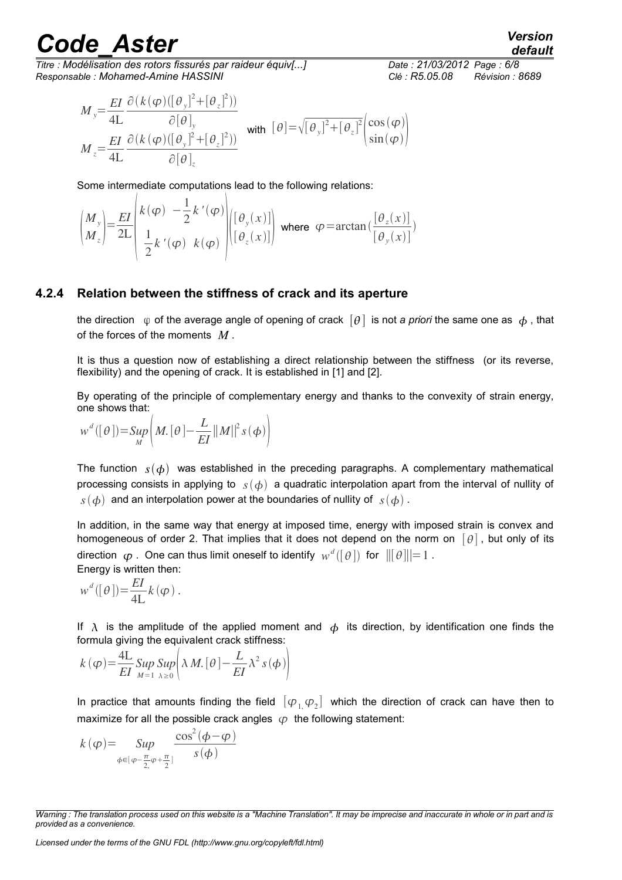*default*

*Titre : Modélisation des rotors fissurés par raideur équiv[...] Date : 21/03/2012 Page : 6/8 Responsable : Mohamed-Amine HASSINI Clé : R5.05.08 Révision : 8689*

$$
M_{y} = \frac{EI}{4L} \frac{\partial (k(\varphi)([\theta_{y}]^{2} + [\theta_{z}]^{2}))}{\partial [\theta]_{y}}
$$
  
\n
$$
M_{z} = \frac{EI}{4L} \frac{\partial (k(\varphi)([\theta_{y}]^{2} + [\theta_{z}]^{2}))}{\partial [\theta]_{z}}
$$
 with  $[\theta] = \sqrt{[\theta_{y}]^{2} + [\theta_{z}]^{2}} \begin{pmatrix} \cos(\varphi) \\ \sin(\varphi) \end{pmatrix}$ 

Some intermediate computations lead to the following relations:

$$
\begin{pmatrix} M_{y} \\ M_{z} \end{pmatrix} = \frac{EI}{2L} \begin{pmatrix} k(\varphi) & -\frac{1}{2}k'(\varphi) \\ \frac{1}{2}k'(\varphi) & k(\varphi) \end{pmatrix} \begin{pmatrix} [\theta_{y}(x)] \\ [\theta_{z}(x)] \end{pmatrix} \text{ where } \varphi = \arctan\left(\frac{[\theta_{z}(x)]}{[\theta_{y}(x)]}\right)
$$

#### **4.2.4 Relation between the stiffness of crack and its aperture**

the direction  $\varphi$  of the average angle of opening of crack  $[\theta]$  is not *a priori* the same one as  $\varphi$ , that of the forces of the moments *M* .

It is thus a question now of establishing a direct relationship between the stiffness (or its reverse, flexibility) and the opening of crack. It is established in [1] and [2].

By operating of the principle of complementary energy and thanks to the convexity of strain energy, one shows that:

$$
w^{d}([\theta]) = \sup_{M} \left( M. [\theta] - \frac{L}{EI} ||M||^{2} s(\phi) \right)
$$

The function  $s(\phi)$  was established in the preceding paragraphs. A complementary mathematical processing consists in applying to  $s(\phi)$  a quadratic interpolation apart from the interval of nullity of  $s(\phi)$  and an interpolation power at the boundaries of nullity of  $s(\phi)$ .

In addition, in the same way that energy at imposed time, energy with imposed strain is convex and homogeneous of order 2. That implies that it does not depend on the norm on  $[\theta]$ , but only of its direction  $\,\boldsymbol{\varphi}$  . One can thus limit oneself to identify  $\,\mathit{w}^{\mathit{d}}([\,\theta\,])\,$  for  $\,\|[\,\theta\,]\|=1$  . Energy is written then:

$$
w^d([\theta]) = \frac{EI}{4L} k(\varphi).
$$

If  $\lambda$  is the amplitude of the applied moment and  $\phi$  its direction, by identification one finds the formula giving the equivalent crack stiffness:

$$
k(\varphi) = \frac{4L}{EI} \sup_{M=1} \sup_{\lambda \ge 0} \left[ \lambda M. [\theta] - \frac{L}{EI} \lambda^2 s(\phi) \right]
$$

In practice that amounts finding the field  $[\varphi_{1,}\varphi_{2}]$  which the direction of crack can have then to maximize for all the possible crack angles  $\varphi$  the following statement:

$$
k(\varphi) = \sup_{\phi \in [\varphi - \frac{\pi}{2}, \varphi + \frac{\pi}{2}]} \frac{\cos^2(\phi - \varphi)}{s(\phi)}
$$

*Warning : The translation process used on this website is a "Machine Translation". It may be imprecise and inaccurate in whole or in part and is provided as a convenience.*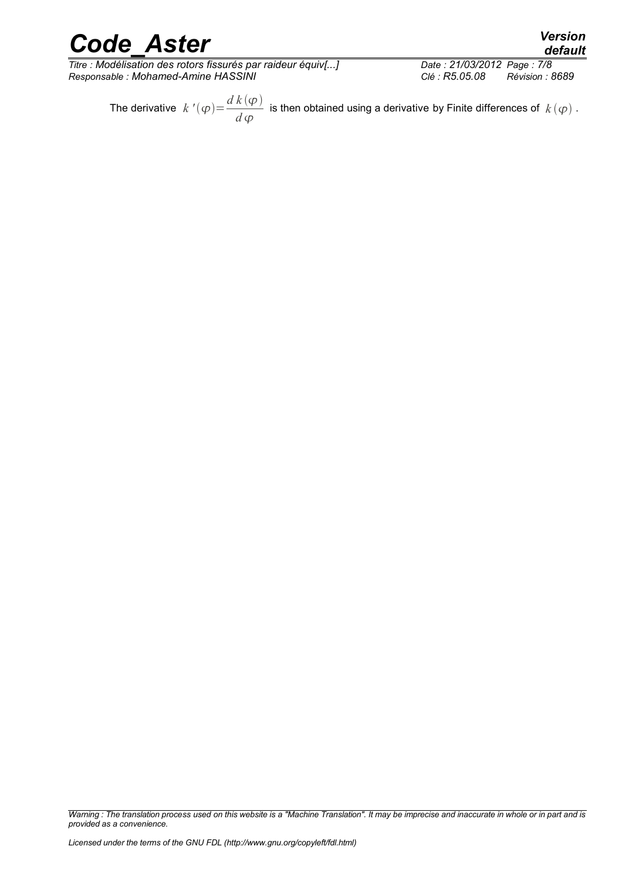*Titre : Modélisation des rotors fissurés par raideur équiv[...] Date : 21/03/2012 Page : 7/8 Responsable : Mohamed-Amine HASSINI Clé : R5.05.08 Révision : 8689*

The derivative  $k'(\varphi) = \frac{d k(\varphi)}{d \varphi}$ *d* is then obtained using a derivative by Finite differences of  $k(\varphi)$ .

*Warning : The translation process used on this website is a "Machine Translation". It may be imprecise and inaccurate in whole or in part and is provided as a convenience.*